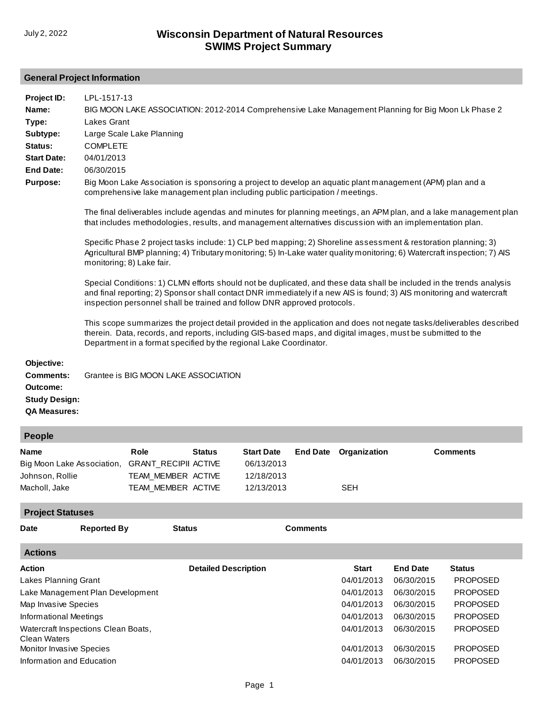# **General Project Information**

| Project ID:<br>Name:<br>Type:<br>Subtype:<br>Status:<br><b>Start Date:</b><br><b>End Date:</b><br><b>Purpose:</b> | LPL-1517-13<br>BIG MOON LAKE ASSOCIATION: 2012-2014 Comprehensive Lake Management Planning for Big Moon Lk Phase 2<br><b>Lakes Grant</b><br>Large Scale Lake Planning<br><b>COMPLETE</b><br>04/01/2013<br>06/30/2015<br>Big Moon Lake Association is sponsoring a project to develop an aquatic plant management (APM) plan and a<br>comprehensive lake management plan including public participation / meetings.<br>The final deliverables include agendas and minutes for planning meetings, an APM plan, and a lake management plan<br>that includes methodologies, results, and management alternatives discussion with an implementation plan.<br>Specific Phase 2 project tasks include: 1) CLP bed mapping; 2) Shoreline assessment & restoration planning; 3)<br>Agricultural BMP planning; 4) Tributary monitoring; 5) In-Lake water quality monitoring; 6) Watercraft inspection; 7) AIS<br>monitoring; 8) Lake fair.<br>Special Conditions: 1) CLMN efforts should not be duplicated, and these data shall be included in the trends analysis<br>and final reporting; 2) Sponsor shall contact DNR immediately if a new AIS is found; 3) AIS monitoring and watercraft<br>inspection personnel shall be trained and follow DNR approved protocols.<br>This scope summarizes the project detail provided in the application and does not negate tasks/deliverables described<br>therein. Data, records, and reports, including GIS-based maps, and digital images, must be submitted to the<br>Department in a format specified by the regional Lake Coordinator. |                                                                                                     |               |                                                             |                 |                            |                 |
|-------------------------------------------------------------------------------------------------------------------|------------------------------------------------------------------------------------------------------------------------------------------------------------------------------------------------------------------------------------------------------------------------------------------------------------------------------------------------------------------------------------------------------------------------------------------------------------------------------------------------------------------------------------------------------------------------------------------------------------------------------------------------------------------------------------------------------------------------------------------------------------------------------------------------------------------------------------------------------------------------------------------------------------------------------------------------------------------------------------------------------------------------------------------------------------------------------------------------------------------------------------------------------------------------------------------------------------------------------------------------------------------------------------------------------------------------------------------------------------------------------------------------------------------------------------------------------------------------------------------------------------------------------------------------------------------------------|-----------------------------------------------------------------------------------------------------|---------------|-------------------------------------------------------------|-----------------|----------------------------|-----------------|
| Objective:<br><b>Comments:</b><br>Outcome:<br><b>Study Design:</b><br><b>QA Measures:</b>                         |                                                                                                                                                                                                                                                                                                                                                                                                                                                                                                                                                                                                                                                                                                                                                                                                                                                                                                                                                                                                                                                                                                                                                                                                                                                                                                                                                                                                                                                                                                                                                                              | Grantee is BIG MOON LAKE ASSOCIATION                                                                |               |                                                             |                 |                            |                 |
| <b>People</b>                                                                                                     |                                                                                                                                                                                                                                                                                                                                                                                                                                                                                                                                                                                                                                                                                                                                                                                                                                                                                                                                                                                                                                                                                                                                                                                                                                                                                                                                                                                                                                                                                                                                                                              |                                                                                                     |               |                                                             |                 |                            |                 |
| Name<br>Johnson, Rollie<br>Macholl, Jake                                                                          |                                                                                                                                                                                                                                                                                                                                                                                                                                                                                                                                                                                                                                                                                                                                                                                                                                                                                                                                                                                                                                                                                                                                                                                                                                                                                                                                                                                                                                                                                                                                                                              | Role<br>Big Moon Lake Association, GRANT_RECIPII ACTIVE<br>TEAM_MEMBER ACTIVE<br>TEAM_MEMBER ACTIVE | <b>Status</b> | <b>Start Date</b><br>06/13/2013<br>12/18/2013<br>12/13/2013 | <b>End Date</b> | Organization<br><b>SEH</b> | <b>Comments</b> |
| <b>Project Statuses</b>                                                                                           |                                                                                                                                                                                                                                                                                                                                                                                                                                                                                                                                                                                                                                                                                                                                                                                                                                                                                                                                                                                                                                                                                                                                                                                                                                                                                                                                                                                                                                                                                                                                                                              |                                                                                                     |               |                                                             |                 |                            |                 |
| <b>Date</b>                                                                                                       | <b>Reported By</b>                                                                                                                                                                                                                                                                                                                                                                                                                                                                                                                                                                                                                                                                                                                                                                                                                                                                                                                                                                                                                                                                                                                                                                                                                                                                                                                                                                                                                                                                                                                                                           | <b>Status</b>                                                                                       |               |                                                             | <b>Comments</b> |                            |                 |
| <b>Actions</b>                                                                                                    |                                                                                                                                                                                                                                                                                                                                                                                                                                                                                                                                                                                                                                                                                                                                                                                                                                                                                                                                                                                                                                                                                                                                                                                                                                                                                                                                                                                                                                                                                                                                                                              |                                                                                                     |               |                                                             |                 |                            |                 |

| Action                              | <b>Detailed Description</b> | <b>Start</b> | <b>End Date</b> | <b>Status</b>   |
|-------------------------------------|-----------------------------|--------------|-----------------|-----------------|
| Lakes Planning Grant                |                             | 04/01/2013   | 06/30/2015      | <b>PROPOSED</b> |
| Lake Management Plan Development    |                             | 04/01/2013   | 06/30/2015      | <b>PROPOSED</b> |
| Map Invasive Species                |                             | 04/01/2013   | 06/30/2015      | <b>PROPOSED</b> |
| Informational Meetings              |                             | 04/01/2013   | 06/30/2015      | <b>PROPOSED</b> |
| Watercraft Inspections Clean Boats, |                             | 04/01/2013   | 06/30/2015      | <b>PROPOSED</b> |
| <b>Clean Waters</b>                 |                             |              |                 |                 |
| <b>Monitor Invasive Species</b>     |                             | 04/01/2013   | 06/30/2015      | <b>PROPOSED</b> |
| Information and Education           |                             | 04/01/2013   | 06/30/2015      | <b>PROPOSED</b> |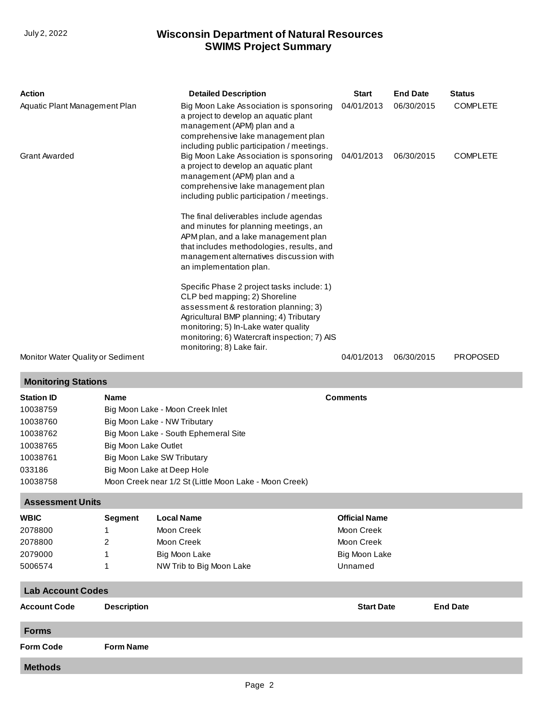## **SWIMS Project Summary** July 2, 2022 **Wisconsin Department of Natural Resources**

| Action                            | <b>Detailed Description</b>                                                                                                                                                                                                                                                          | <b>Start</b> | <b>End Date</b> | <b>Status</b>   |
|-----------------------------------|--------------------------------------------------------------------------------------------------------------------------------------------------------------------------------------------------------------------------------------------------------------------------------------|--------------|-----------------|-----------------|
| Aquatic Plant Management Plan     | Big Moon Lake Association is sponsoring<br>a project to develop an aquatic plant<br>management (APM) plan and a<br>comprehensive lake management plan<br>including public participation / meetings.                                                                                  | 04/01/2013   | 06/30/2015      | <b>COMPLETE</b> |
| <b>Grant Awarded</b>              | Big Moon Lake Association is sponsoring<br>a project to develop an aquatic plant<br>management (APM) plan and a<br>comprehensive lake management plan<br>including public participation / meetings.                                                                                  | 04/01/2013   | 06/30/2015      | <b>COMPLETE</b> |
|                                   | The final deliverables include agendas<br>and minutes for planning meetings, an<br>APM plan, and a lake management plan<br>that includes methodologies, results, and<br>management alternatives discussion with<br>an implementation plan.                                           |              |                 |                 |
|                                   | Specific Phase 2 project tasks include: 1)<br>CLP bed mapping; 2) Shoreline<br>assessment & restoration planning; 3)<br>Agricultural BMP planning; 4) Tributary<br>monitoring; 5) In-Lake water quality<br>monitoring; 6) Watercraft inspection; 7) AIS<br>monitoring; 8) Lake fair. |              |                 |                 |
| Monitor Water Quality or Sediment |                                                                                                                                                                                                                                                                                      | 04/01/2013   | 06/30/2015      | <b>PROPOSED</b> |

#### **Monitoring Stations**

**Station ID Name Comments** 10038759 10038760 10038762 10038765 10038761 033186 10038758 [Big Moon Lake - Moon Creek Inlet](http://prodoasint.dnr.wi.gov/swims/viewStation.html?id=67673831) [Big Moon Lake - NW Tributary](http://prodoasint.dnr.wi.gov/swims/viewStation.html?id=67673978) [Big Moon Lake - South Ephemeral Site](http://prodoasint.dnr.wi.gov/swims/viewStation.html?id=67674493) [Big Moon Lake Outlet](http://prodoasint.dnr.wi.gov/swims/viewStation.html?id=67675797) [Big Moon Lake SW Tributary](http://prodoasint.dnr.wi.gov/swims/viewStation.html?id=67674163) [Big Moon Lake at Deep Hole](http://prodoasint.dnr.wi.gov/swims/viewStation.html?id=589) [Moon Creek near 1/2 St \(Little Moon Lake - Moon Creek\)](http://prodoasint.dnr.wi.gov/swims/viewStation.html?id=67673729)

### **Assessment Units**

| <b>WBIC</b> | Segment | Local Name               | <b>Official Name</b> |  |
|-------------|---------|--------------------------|----------------------|--|
| 2078800     |         | Moon Creek               | Moon Creek           |  |
| 2078800     |         | Moon Creek               | Moon Creek           |  |
| 2079000     |         | Big Moon Lake            | Big Moon Lake        |  |
| 5006574     |         | NW Trib to Big Moon Lake | Unnamed              |  |

# **Lab Account Codes Account Code Description Start Date End Date Forms Form Code Form Name Methods**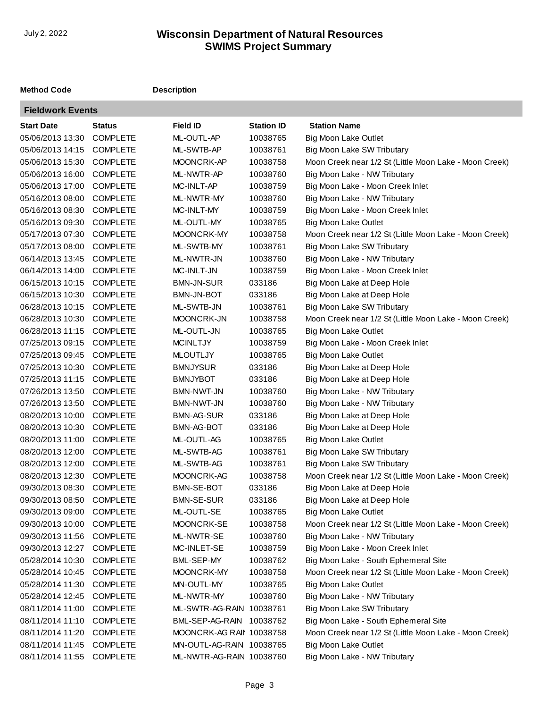# **SWIMS Project Summary** July 2, 2022 **Wisconsin Department of Natural Resources**

### **Method Code Description**

**COL** 

| <b>Fieldwork Events</b> |                 |                            |                   |                                                        |
|-------------------------|-----------------|----------------------------|-------------------|--------------------------------------------------------|
| <b>Start Date</b>       | <b>Status</b>   | <b>Field ID</b>            | <b>Station ID</b> | <b>Station Name</b>                                    |
| 05/06/2013 13:30        | <b>COMPLETE</b> | ML-OUTL-AP                 | 10038765          | <b>Big Moon Lake Outlet</b>                            |
| 05/06/2013 14:15        | <b>COMPLETE</b> | ML-SWTB-AP                 | 10038761          | Big Moon Lake SW Tributary                             |
| 05/06/2013 15:30        | <b>COMPLETE</b> | MOONCRK-AP                 | 10038758          | Moon Creek near 1/2 St (Little Moon Lake - Moon Creek) |
| 05/06/2013 16:00        | <b>COMPLETE</b> | ML-NWTR-AP                 | 10038760          | Big Moon Lake - NW Tributary                           |
| 05/06/2013 17:00        | <b>COMPLETE</b> | MC-INLT-AP                 | 10038759          | Big Moon Lake - Moon Creek Inlet                       |
| 05/16/2013 08:00        | <b>COMPLETE</b> | ML-NWTR-MY                 | 10038760          | Big Moon Lake - NW Tributary                           |
| 05/16/2013 08:30        | <b>COMPLETE</b> | MC-INLT-MY                 | 10038759          | Big Moon Lake - Moon Creek Inlet                       |
| 05/16/2013 09:30        | <b>COMPLETE</b> | ML-OUTL-MY                 | 10038765          | <b>Big Moon Lake Outlet</b>                            |
| 05/17/2013 07:30        | <b>COMPLETE</b> | MOONCRK-MY                 | 10038758          | Moon Creek near 1/2 St (Little Moon Lake - Moon Creek) |
| 05/17/2013 08:00        | <b>COMPLETE</b> | ML-SWTB-MY                 | 10038761          | Big Moon Lake SW Tributary                             |
| 06/14/2013 13:45        | <b>COMPLETE</b> | ML-NWTR-JN                 | 10038760          | Big Moon Lake - NW Tributary                           |
| 06/14/2013 14:00        | <b>COMPLETE</b> | MC-INLT-JN                 | 10038759          | Big Moon Lake - Moon Creek Inlet                       |
| 06/15/2013 10:15        | <b>COMPLETE</b> | <b>BMN-JN-SUR</b>          | 033186            | Big Moon Lake at Deep Hole                             |
| 06/15/2013 10:30        | <b>COMPLETE</b> | <b>BMN-JN-BOT</b>          | 033186            | Big Moon Lake at Deep Hole                             |
| 06/28/2013 10:15        | <b>COMPLETE</b> | ML-SWTB-JN                 | 10038761          | Big Moon Lake SW Tributary                             |
| 06/28/2013 10:30        | <b>COMPLETE</b> | MOONCRK-JN                 | 10038758          | Moon Creek near 1/2 St (Little Moon Lake - Moon Creek) |
| 06/28/2013 11:15        | <b>COMPLETE</b> | ML-OUTL-JN                 | 10038765          | Big Moon Lake Outlet                                   |
| 07/25/2013 09:15        | <b>COMPLETE</b> | <b>MCINLTJY</b>            | 10038759          | Big Moon Lake - Moon Creek Inlet                       |
| 07/25/2013 09:45        | <b>COMPLETE</b> | <b>MLOUTLJY</b>            | 10038765          | <b>Big Moon Lake Outlet</b>                            |
| 07/25/2013 10:30        | <b>COMPLETE</b> | <b>BMNJYSUR</b>            | 033186            | Big Moon Lake at Deep Hole                             |
| 07/25/2013 11:15        | <b>COMPLETE</b> | <b>BMNJYBOT</b>            | 033186            | Big Moon Lake at Deep Hole                             |
| 07/26/2013 13:50        | <b>COMPLETE</b> | <b>BMN-NWT-JN</b>          | 10038760          | Big Moon Lake - NW Tributary                           |
| 07/26/2013 13:50        | <b>COMPLETE</b> | BMN-NWT-JN                 | 10038760          | Big Moon Lake - NW Tributary                           |
| 08/20/2013 10:00        | <b>COMPLETE</b> | <b>BMN-AG-SUR</b>          | 033186            | Big Moon Lake at Deep Hole                             |
| 08/20/2013 10:30        | <b>COMPLETE</b> | <b>BMN-AG-BOT</b>          | 033186            | Big Moon Lake at Deep Hole                             |
| 08/20/2013 11:00        | <b>COMPLETE</b> | ML-OUTL-AG                 | 10038765          | Big Moon Lake Outlet                                   |
| 08/20/2013 12:00        | <b>COMPLETE</b> | ML-SWTB-AG                 | 10038761          | Big Moon Lake SW Tributary                             |
| 08/20/2013 12:00        | <b>COMPLETE</b> | ML-SWTB-AG                 | 10038761          | Big Moon Lake SW Tributary                             |
| 08/20/2013 12:30        | <b>COMPLETE</b> | MOONCRK-AG                 | 10038758          | Moon Creek near 1/2 St (Little Moon Lake - Moon Creek) |
| 09/30/2013 08:30        | <b>COMPLETE</b> | <b>BMN-SE-BOT</b>          | 033186            | Big Moon Lake at Deep Hole                             |
| 09/30/2013 08:50        | <b>COMPLETE</b> | <b>BMN-SE-SUR</b>          | 033186            | Big Moon Lake at Deep Hole                             |
| 09/30/2013 09:00        | <b>COMPLETE</b> | ML-OUTL-SE                 | 10038765          | Big Moon Lake Outlet                                   |
| 09/30/2013 10:00        | <b>COMPLETE</b> | MOONCRK-SE                 | 10038758          | Moon Creek near 1/2 St (Little Moon Lake - Moon Creek) |
| 09/30/2013 11:56        | <b>COMPLETE</b> | ML-NWTR-SE                 | 10038760          | Big Moon Lake - NW Tributary                           |
| 09/30/2013 12:27        | <b>COMPLETE</b> | MC-INLET-SE                | 10038759          | Big Moon Lake - Moon Creek Inlet                       |
| 05/28/2014 10:30        | <b>COMPLETE</b> | BML-SEP-MY                 | 10038762          | Big Moon Lake - South Ephemeral Site                   |
| 05/28/2014 10:45        | <b>COMPLETE</b> | MOONCRK-MY                 | 10038758          | Moon Creek near 1/2 St (Little Moon Lake - Moon Creek) |
| 05/28/2014 11:30        | <b>COMPLETE</b> | MN-OUTL-MY                 | 10038765          | <b>Big Moon Lake Outlet</b>                            |
| 05/28/2014 12:45        | <b>COMPLETE</b> | ML-NWTR-MY                 | 10038760          | Big Moon Lake - NW Tributary                           |
| 08/11/2014 11:00        | <b>COMPLETE</b> | ML-SWTR-AG-RAIN 10038761   |                   | Big Moon Lake SW Tributary                             |
| 08/11/2014 11:10        | <b>COMPLETE</b> | BML-SEP-AG-RAIN   10038762 |                   | Big Moon Lake - South Ephemeral Site                   |
| 08/11/2014 11:20        | <b>COMPLETE</b> | MOONCRK-AG RAIN 10038758   |                   | Moon Creek near 1/2 St (Little Moon Lake - Moon Creek) |
| 08/11/2014 11:45        | <b>COMPLETE</b> | MN-OUTL-AG-RAIN 10038765   |                   | <b>Big Moon Lake Outlet</b>                            |
| 08/11/2014 11:55        | <b>COMPLETE</b> | ML-NWTR-AG-RAIN 10038760   |                   | Big Moon Lake - NW Tributary                           |
|                         |                 |                            |                   |                                                        |